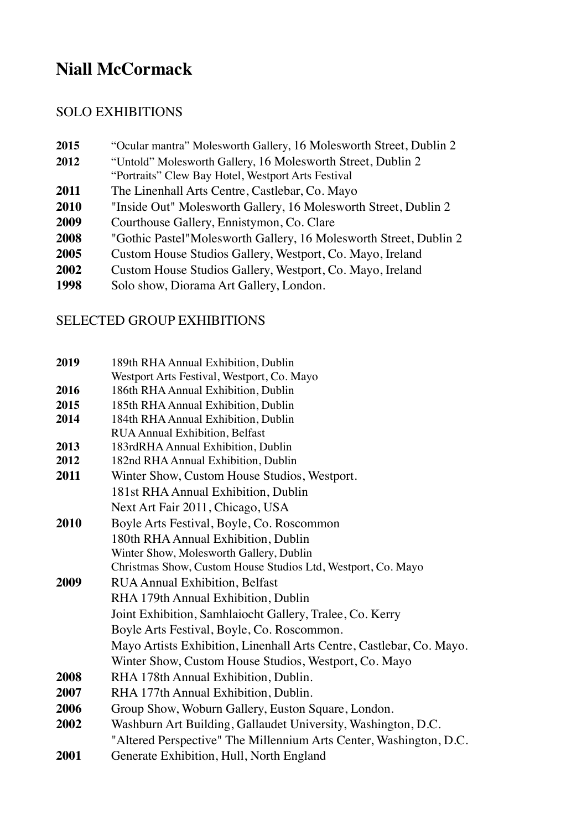# **Niall McCormack**

## SOLO EXHIBITIONS

- **2015** "Ocular mantra" Molesworth Gallery, 16 Molesworth Street, Dublin 2
- **2012** "Untold" Molesworth Gallery, 16 Molesworth Street, Dublin 2 "Portraits" Clew Bay Hotel, Westport Arts Festival
- 2011 The Linenhall Arts Centre, Castlebar, Co. Mayo
- **2010** "Inside Out" Molesworth Gallery, 16 Molesworth Street, Dublin 2
- **2009** Courthouse Gallery, Ennistymon, Co. Clare
- **2008** "Gothic Pastel"Molesworth Gallery, 16 Molesworth Street, Dublin 2
- **2005** Custom House Studios Gallery, Westport, Co. Mayo, Ireland
- **2002** Custom House Studios Gallery, Westport, Co. Mayo, Ireland
- **1998** Solo show, Diorama Art Gallery, London.

### SELECTED GROUP EXHIBITIONS

| 2019       | 189th RHA Annual Exhibition, Dublin                                  |
|------------|----------------------------------------------------------------------|
|            | Westport Arts Festival, Westport, Co. Mayo                           |
| 2016       | 186th RHA Annual Exhibition, Dublin                                  |
| 2015       | 185th RHA Annual Exhibition, Dublin                                  |
| 2014       | 184th RHA Annual Exhibition, Dublin                                  |
|            | <b>RUA Annual Exhibition, Belfast</b>                                |
| 2013       | 183rdRHA Annual Exhibition, Dublin                                   |
| 2012       | 182nd RHA Annual Exhibition, Dublin                                  |
| 2011       | Winter Show, Custom House Studios, Westport.                         |
|            | 181st RHA Annual Exhibition, Dublin                                  |
|            | Next Art Fair 2011, Chicago, USA                                     |
| 2010       | Boyle Arts Festival, Boyle, Co. Roscommon                            |
|            | 180th RHA Annual Exhibition, Dublin                                  |
|            | Winter Show, Molesworth Gallery, Dublin                              |
|            | Christmas Show, Custom House Studios Ltd, Westport, Co. Mayo         |
| 2009       | <b>RUA Annual Exhibition, Belfast</b>                                |
|            | RHA 179th Annual Exhibition, Dublin                                  |
|            | Joint Exhibition, Samhlaiocht Gallery, Tralee, Co. Kerry             |
|            | Boyle Arts Festival, Boyle, Co. Roscommon.                           |
|            | Mayo Artists Exhibition, Linenhall Arts Centre, Castlebar, Co. Mayo. |
|            | Winter Show, Custom House Studios, Westport, Co. Mayo                |
| 2008       | RHA 178th Annual Exhibition, Dublin.                                 |
| 2007       | RHA 177th Annual Exhibition, Dublin.                                 |
| 2006       | Group Show, Woburn Gallery, Euston Square, London.                   |
| 2002       | Washburn Art Building, Gallaudet University, Washington, D.C.        |
|            | "Altered Perspective" The Millennium Arts Center, Washington, D.C.   |
| <b>MAN</b> | $C_{\text{cutoff}}$ Exhibition Hull Month England                    |

**2001** Generate Exhibition, Hull, North England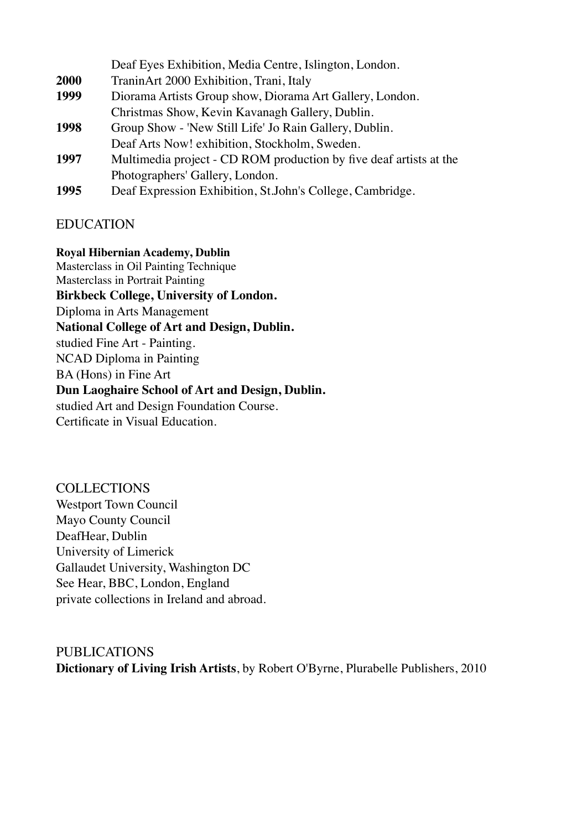|      | Deaf Eyes Exhibition, Media Centre, Islington, London.             |
|------|--------------------------------------------------------------------|
| 2000 | TraninArt 2000 Exhibition, Trani, Italy                            |
| 1999 | Diorama Artists Group show, Diorama Art Gallery, London.           |
|      | Christmas Show, Kevin Kavanagh Gallery, Dublin.                    |
| 1998 | Group Show - 'New Still Life' Jo Rain Gallery, Dublin.             |
|      | Deaf Arts Now! exhibition, Stockholm, Sweden.                      |
| 1997 | Multimedia project - CD ROM production by five deaf artists at the |
|      | Photographers' Gallery, London.                                    |
| 1995 | Deaf Expression Exhibition, St.John's College, Cambridge.          |

#### EDUCATION

#### **Royal Hibernian Academy, Dublin**

Masterclass in Oil Painting Technique Masterclass in Portrait Painting **Birkbeck College, University of London.** Diploma in Arts Management **National College of Art and Design, Dublin.** studied Fine Art - Painting. NCAD Diploma in Painting BA (Hons) in Fine Art **Dun Laoghaire School of Art and Design, Dublin.** studied Art and Design Foundation Course. Certificate in Visual Education.

COLLECTIONS Westport Town Council Mayo County Council DeafHear, Dublin University of Limerick Gallaudet University, Washington DC See Hear, BBC, London, England private collections in Ireland and abroad.

PUBLICATIONS **Dictionary of Living Irish Artists**, by Robert O'Byrne, Plurabelle Publishers, 2010